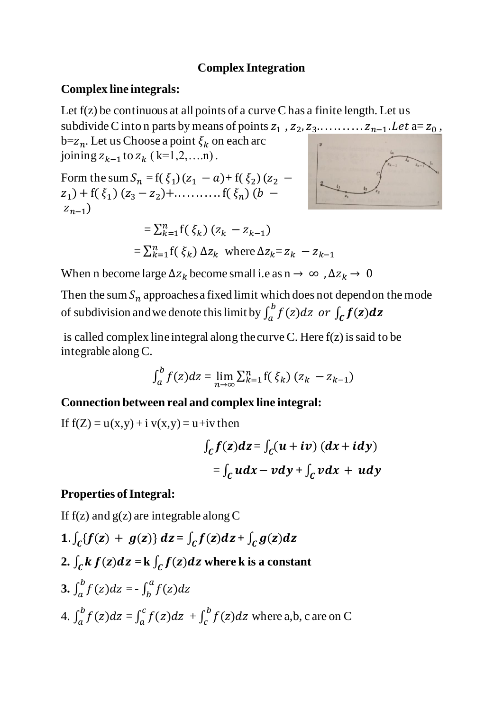### **Complex Integration**

### **Complex line integrals:**

Let  $f(z)$  be continuous at all points of a curve C has a finite length. Let us subdivide C into n parts by means of points  $z_1$ ,  $z_2$ ,  $z_3$ ........... $z_{n-1}$ . Let  $a=z_0$ ,

 $b=z_n$ . Let us Choose a point  $\xi_k$  on each arc joining  $z_{k-1}$  to  $z_k$  (k=1,2,....n).

Form the sum  $S_n = f(\xi_1)(z_1 - a) + f(\xi_2)(z_2 - a)$  $(z_1)$  + f( $\xi_1$ ) ( $z_3$  –  $z_2$ )+.............. f( $\xi_n$ ) ( $b$  –  $z_{n-1}$ 

$$
= \sum_{k=1}^{n} f(\xi_k) (z_k - z_{k-1})
$$
  
= 
$$
\sum_{k=1}^{n} f(\xi_k) \Delta z_k
$$
 where  $\Delta z_k = z_k - z_{k-1}$ 

When n become large  $\Delta z_k$  become small i.e as n  $\rightarrow \infty$ ,  $\Delta z_k \rightarrow 0$ 

Then the sum  $S_n$  approaches a fixed limit which does not depend on the mode of subdivision and we denote this limit by  $\int_a^b f(z)dz$  or  $\int_c f(z)dz$ 

is called complex line integral along the curve C. Here  $f(z)$  is said to be integrable along C.

$$
\int_a^b f(z)dz = \lim_{n \to \infty} \sum_{k=1}^n f(\xi_k) (z_k - z_{k-1})
$$

#### **Connection between real and complex line integral:**

If  $f(Z) = u(x,y) + i v(x,y) = u + iv$  then

$$
\int_{C} f(z)dz = \int_{C} (u + iv) (dx + i dy)
$$

$$
= \int_{C} u dx - v dy + \int_{C} v dx + u dy
$$

#### **Properties of Integral:**

If  $f(z)$  and  $g(z)$  are integrable along C

- 1.  $\int_C \{f(z) + g(z)\} dz = \int_C f(z) dz + \int_C g(z) dz$
- 2.  $\int_C k f(z) dz = k \int_C f(z) dz$  where k is a constant

3. 
$$
\int_{a}^{b} f(z)dz = -\int_{b}^{a} f(z)dz
$$
  
4. 
$$
\int_{a}^{b} f(z)dz = \int_{a}^{c} f(z)dz + \int_{c}^{b} f(z)dz
$$
 where a,b, c are on C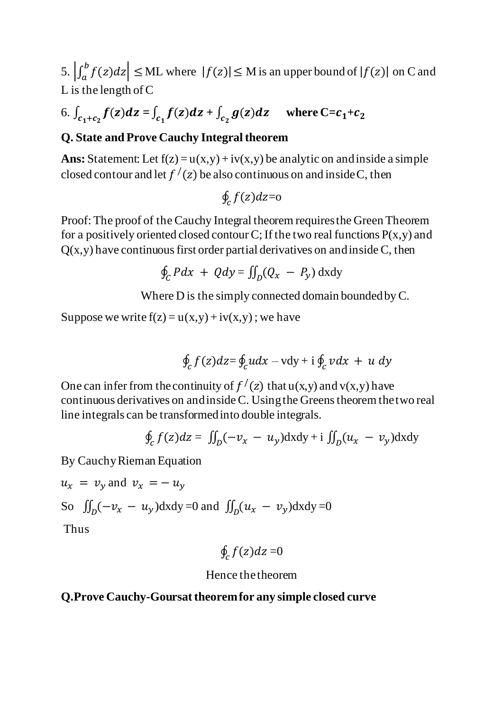5.  $\left| \int_a^b f(z) dz \right| \leq M L$  where  $|f(z)| \leq M$  is an upper bound of  $|f(z)|$  on C and L is the length of C

# 6.  $\int_{c_1+c_2} f(z)dz = \int_{c_1} f(z)dz + \int_{c_2} g(z)dz$  where  $C = c_1 + c_2$

# **Q. State and Prove Cauchy Integral theorem**

Ans: Statement: Let  $f(z) = u(x,y) + iv(x,y)$  be analytic on and inside a simple closed contour and let  $f'(z)$  be also continuous on and inside C, then

$$
\oint_{\mathcal{C}} f(z) dz {=} \mathrm{o}
$$

Proof: The proof of the Cauchy Integral theorem requires the Green Theorem for a positively oriented closed contour C; If the two real functions  $P(x,y)$  and  $Q(x, y)$  have continuous first order partial derivatives on and inside C, then

$$
\oint_C Pdx + Qdy = \iint_D (Q_x - P_y) dxdy
$$

Where D is the simply connected domain bounded by C.

Suppose we write  $f(z) = u(x,y) + iv(x,y)$ ; we have

$$
\oint_{\mathcal{C}} f(z) dz = \oint_{\mathcal{C}} u dx - v dy + i \oint_{\mathcal{C}} v dx + u dy
$$

One can infer from the continuity of  $f'(z)$  that  $u(x,y)$  and  $v(x,y)$  have continuous derivatives on and inside C. Using the Greens theorem the two real line integrals can be transformed into double integrals.

$$
\oint_{C} f(z)dz = \iint_{D} (-v_x - u_y) dxdy + i \iint_{D} (u_x - v_y) dxdy
$$

By Cauchy Rieman Equation

$$
u_x = v_y \text{ and } v_x = -u_y
$$
  
So  $\iint_D (-v_x - u_y) \, dx \, dy = 0$  and  $\iint_D (u_x - v_y) \, dx \, dy = 0$   
Thus

$$
\oint_{\mathcal{C}} f(z) dz = 0
$$

#### Hence the theorem

# **Q.Prove Cauchy-Goursat theorem for any simple closed curve**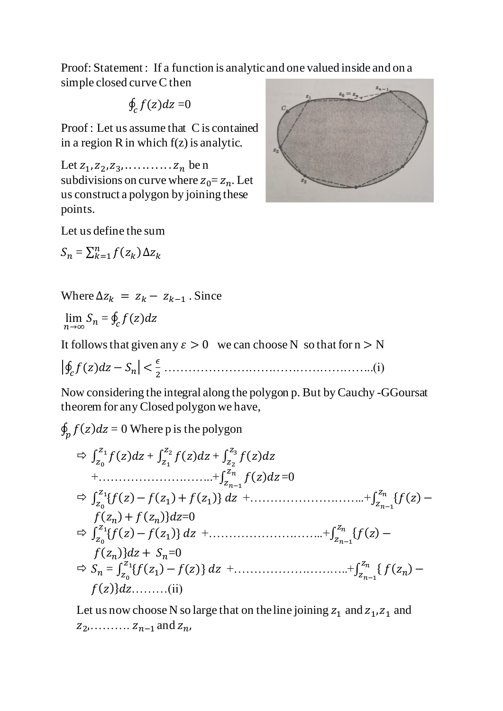Proof: Statement : If a function is analytic and one valued inside and on a simple closed curve C then

$$
\oint_{\mathcal{C}} f(z) dz = 0
$$

Proof : Let us assume that C is contained in a region R in which  $f(z)$  is analytic.

Let  $z_1, z_2, z_3, \ldots, z_n$  be n subdivisions on curve where  $z_0 = z_n$ . Let us construct a polygon by joining these points.

Let us define the sum

 $S_n = \sum_{k=1}^n f(z_k) \Delta z_k$ 



Where  $\Delta z_k = z_k - z_{k-1}$ . Since

 $\lim_{n\to\infty} S_n = \oint_c f(z) dz$ 

It follows that given any  $\varepsilon > 0$  we can choose N so that for  $n > N$ 

|∮ () − | < <sup>2</sup> ……………………………………………..(i)

Now considering the integral along the polygon p. But by Cauchy -GGoursat theorem for any Closed polygon we have,

 $\oint_p f(z) dz = 0$  Where p is the polygon

$$
\Rightarrow \int_{z_0}^{z_1} f(z)dz + \int_{z_1}^{z_2} f(z)dz + \int_{z_2}^{z_3} f(z)dz
$$
  
+........  

$$
+ \dots
$$
  

$$
\Rightarrow \int_{z_0}^{z_1} \{f(z) - f(z_1) + f(z_1)\} dz + \dots
$$
  

$$
+ \int_{z_{n-1}}^{z_n} \{f(z) - f(z_1) + f(z_1)\} dz + \dots
$$
  

$$
\Rightarrow \int_{z_0}^{z_1} \{f(z) - f(z_1)\} dz + \dots
$$
  

$$
+ \int_{z_{n-1}}^{z_n} \{f(z) - f(z_1)\} dz + \dots
$$
  

$$
\Rightarrow \int_{z_0}^{z_1} \{f(z) - f(z_1)\} dz + \dots
$$
  

$$
\Rightarrow \int_{z_0}^{z_1} \{f(z) - f(z)\} dz + \dots
$$
  

$$
+ \int_{z_{n-1}}^{z_n} \{f(z_n) - f(z)\} dz + \dots
$$
  

$$
+ \int_{z_{n-1}}^{z_n} \{f(z_n) - f(z)\} dz + \dots
$$
  

$$
+ \int_{z_{n-1}}^{z_n} \{f(z_n) - f(z)\} dz + \dots
$$

Let us now choose N so large that on the line joining  $z_1$  and  $z_1$ ,  $z_1$  and  $z_2$ , . . . . . . . . . .  $z_{n-1}$  and  $z_n$ ,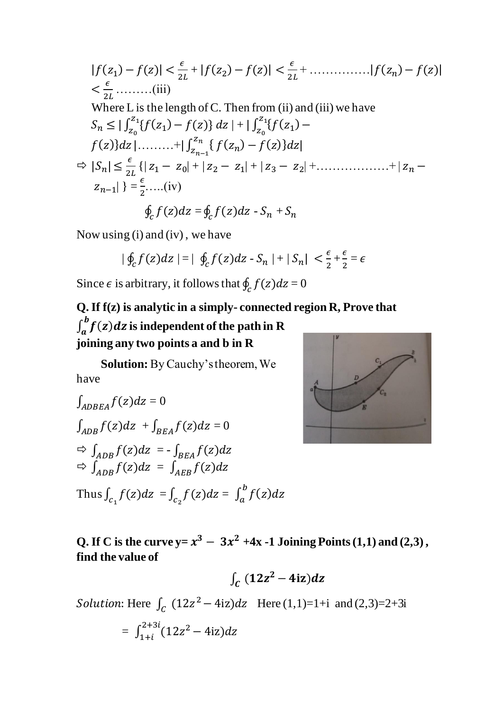$$
|f(z_1) - f(z)| < \frac{\epsilon}{2L} + |f(z_2) - f(z)| < \frac{\epsilon}{2L} + \dots + |f(z_n) - f(z)|
$$
  
\n
$$
< \frac{\epsilon}{2L} + \dots + |f(z_n) - f(z)|
$$
  
\nWhere L is the length of C. Then from (ii) and (iii) we have  
\n
$$
S_n \leq |\int_{z_0}^{z_1} {f(z_1) - f(z)} dz| + |\int_{z_0}^{z_1} {f(z_1) - f(z)} dz|
$$
  
\n
$$
f(z) dz | \dots + |\int_{z_{n-1}}^{z_n} {f(z_n) - f(z)} dz|
$$
  
\n
$$
\Rightarrow |S_n| \leq \frac{\epsilon}{2L} \{ |z_1 - z_0| + |z_2 - z_1| + |z_3 - z_2| + \dots + |z_n - z_{n-1}| \} = \frac{\epsilon}{2} + \dots + \frac{\epsilon}{2}
$$
  
\n
$$
\oint_c f(z) dz = \oint_c f(z) dz - S_n + S_n
$$

Now using (i) and (iv) , we have

$$
|\oint_{C} f(z)dz| = |\oint_{C} f(z)dz - S_n| + |S_n| < \frac{\epsilon}{2} + \frac{\epsilon}{2} = \epsilon
$$

Since  $\epsilon$  is arbitrary, it follows that  $\oint_c f(z)dz = 0$ 

# **Q. If f(z) is analytic in a simply- connected region R, Prove that**   $\int_a^b f(z) dz$  is independent of the path in R **joining any two points a and b in R**

 **Solution:** By Cauchy's theorem, We have

$$
\int_{ADBEA} f(z)dz = 0
$$
\n
$$
\int_{ADB} f(z)dz + \int_{BEA} f(z)dz = 0
$$
\n
$$
\Rightarrow \int_{ADB} f(z)dz = -\int_{BEA} f(z)dz
$$
\n
$$
\Rightarrow \int_{ADB} f(z)dz = \int_{AEB} f(z)dz
$$
\nThus  $\int_{C_1} f(z)dz = \int_{C_2} f(z)dz = \int_a^b f(z)dz$ 



**Q.** If C is the curve  $y = x^3 - 3x^2 + 4x - 1$  Joining Points (1,1) and (2,3), **find the value of** 

$$
\int_C (12z^2-4iz)dz
$$

*Solution*: Here  $\int_C (12z^2 - 4iz)dz$  Here  $(1,1)=1+i$  and  $(2,3)=2+3i$ 

$$
= \int_{1+i}^{2+3i} (12z^2 - 4iz) dz
$$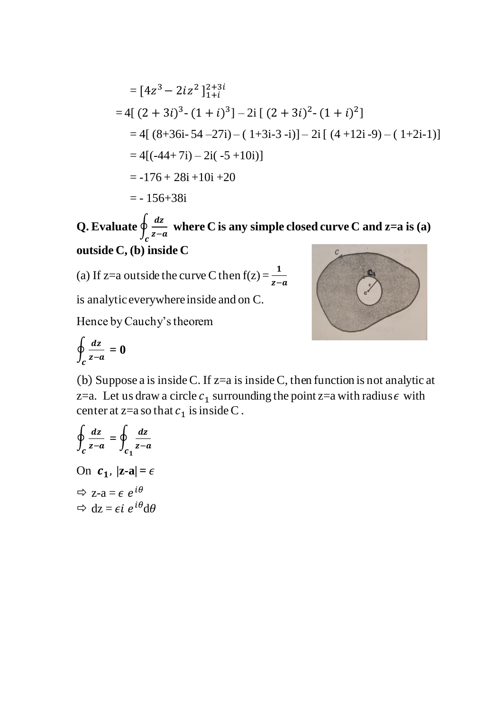$$
= [4z3 - 2iz2]_{1+i}^{2+3i}
$$
  
= 4[(2+3i)<sup>3</sup> - (1 + i)<sup>3</sup>] - 2i [(2+3i)<sup>2</sup> - (1 + i)<sup>2</sup>]  
= 4[(8+36i-54-27i) - (1+3i-3-i)] - 2i [(4+12i-9) - (1+2i-1)]  
= 4[(-44+7i) - 2i(-5+10i)]  
= -176 + 28i + 10i + 20  
= -156+38i

**Q. Evaluate** ∮ **where C is any simple closed curve C and z=a is (a)**   $c^{z-a}$ **outside C, (b) inside C**  $\overline{c}$ 

(a) If z=a outside the curve C then  $f(z) = \frac{1}{z-a}$ 

is analytic everywhere inside and on C.

Hence by Cauchy's theorem

$$
\oint_c \frac{dz}{z-a} = 0
$$

(b) Suppose a is inside C. If z=a is inside C, then function is not analytic at z=a. Let us draw a circle  $c_1$  surrounding the point z=a with radius  $\epsilon$  with center at z=a so that  $c_1$  is inside C.

$$
\oint_{c} \frac{dz}{z-a} = \oint_{c_1} \frac{dz}{z-a}
$$
\nOn  $c_1$ ,  $|z-a| = \epsilon$   
\n $\Rightarrow$   $z-a = \epsilon e^{i\theta}$   
\n $\Rightarrow dz = \epsilon i e^{i\theta} d\theta$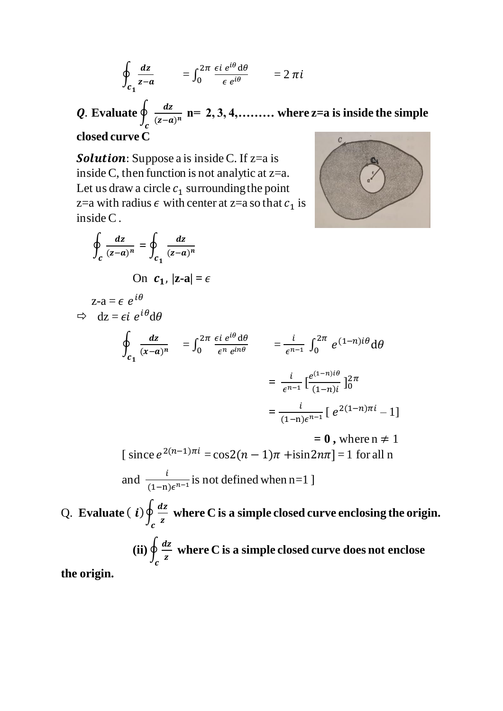$$
\oint_{c_1} \frac{dz}{z-a} = \int_0^{2\pi} \frac{\epsilon i \, e^{i\theta} d\theta}{\epsilon \, e^{i\theta}} = 2 \pi i
$$

. **Evaluate** ∮  $\int_{c}^{\infty}$   $(z-a)^n$ **n= 2, 3, 4,……… where z=a is inside the simple closed curve C**

Solution: Suppose a is inside C. If z=a is inside C, then function is not analytic at  $z=a$ . Let us draw a circle  $c_1$  surrounding the point z=a with radius  $\epsilon$  with center at z=a so that  $c_1$  is inside C .



$$
\oint_{c} \frac{dz}{(z-a)^{n}} = \oint_{c_1} \frac{dz}{(z-a)^{n}}
$$
\nOn  $c_1$ ,  $|z-a| = \epsilon$   
\n $z-a = \epsilon e^{i\theta}$   
\n $\Rightarrow dz = \epsilon i e^{i\theta} d\theta$   
\n $\oint_{c_1} \frac{dz}{(x-a)^{n}} = \int_{0}^{2\pi} \frac{\epsilon i e^{i\theta} d\theta}{\epsilon^{n} e^{in\theta}} = \frac{i}{\epsilon^{n-1}} \int_{0}^{2\pi} e^{(1-n)i\theta} d\theta$   
\n $= \frac{i}{\epsilon^{n-1}} [\frac{e^{(1-n)i\theta}}{(1-n)i}]_{0}^{2\pi}$   
\n $= \frac{i}{(1-n)\epsilon^{n-1}} [e^{2(1-n)\pi i} - 1]$   
\n $= 0$ , where  $n \neq 1$   
\n[ since  $e^{2(n-1)\pi i} = \cos(2(n-1)\pi) + i\sin(2n\pi) = 1$  for all n  
\nand  $\frac{i}{(1-n)\epsilon^{n-1}}$  is not defined when  $n = 1$ ]  
\nQ. Evaluate  $(i)$   $\oint_{c} \frac{dz}{z}$  where C is a simple closed curve enclosing the origin.  
\n(ii)  $\oint_{c} \frac{dz}{z}$  where C is a simple closed curve does not enclose  
\nthe origin.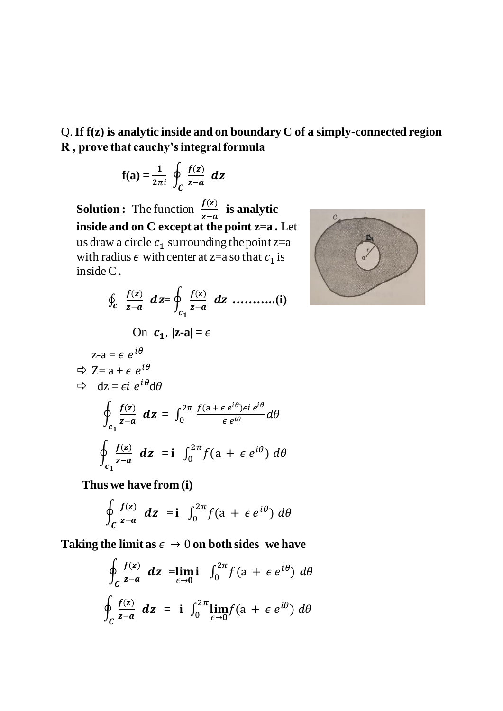Q.**If f(z) is analytic inside and on boundary C of a simply-connected region R , prove that cauchy's integral formula** 

$$
\mathbf{f}(\mathbf{a}) = \frac{1}{2\pi i} \oint_C \frac{f(z)}{z-a} \ dz
$$

**Solution :** The function  $\frac{f(z)}{z-a}$  $\frac{f(z)}{z-a}$  is analytic **inside and on C except at the point z=a .** Let us draw a circle  $c_1$  surrounding the point z=a with radius  $\epsilon$  with center at z=a so that  $c_1$  is inside C .

$$
\oint_c \frac{f(z)}{z-a} \, dz = \oint_{c_1} \frac{f(z)}{z-a} \, dz \, \dots \dots \dots \dots (i)
$$
\nOn  $c_1$ ,  $|z-a| = \epsilon$   
\n $z-a = \epsilon e^{i\theta}$   
\n $\Rightarrow \quad Z = a + \epsilon e^{i\theta}$   
\n $\Rightarrow \quad dz = \epsilon i e^{i\theta} d\theta$   
\n $\oint_{c_1} \frac{f(z)}{z-a} \, dz = \int_0^{2\pi} \frac{f(a + \epsilon e^{i\theta}) \epsilon i e^{i\theta}}{\epsilon e^{i\theta}} \, d\theta$   
\n $\oint_{c_1} \frac{f(z)}{z-a} \, dz = i \int_0^{2\pi} f(a + \epsilon e^{i\theta}) \, d\theta$ 

 **Thus we have from (i)** 

$$
\oint_C \frac{f(z)}{z-a} \ dz = \mathbf{i} \ \int_0^{2\pi} f(a + \epsilon e^{i\theta}) \ d\theta
$$

Taking the limit as  $\epsilon \to 0$  on both sides we have

$$
\oint_C \frac{f(z)}{z-a} \, dz = \lim_{\epsilon \to 0} i \int_0^{2\pi} f(a + \epsilon \, e^{i\theta}) \, d\theta
$$
\n
$$
\oint_C \frac{f(z)}{z-a} \, dz = i \int_0^{2\pi} \lim_{\epsilon \to 0} f(a + \epsilon \, e^{i\theta}) \, d\theta
$$

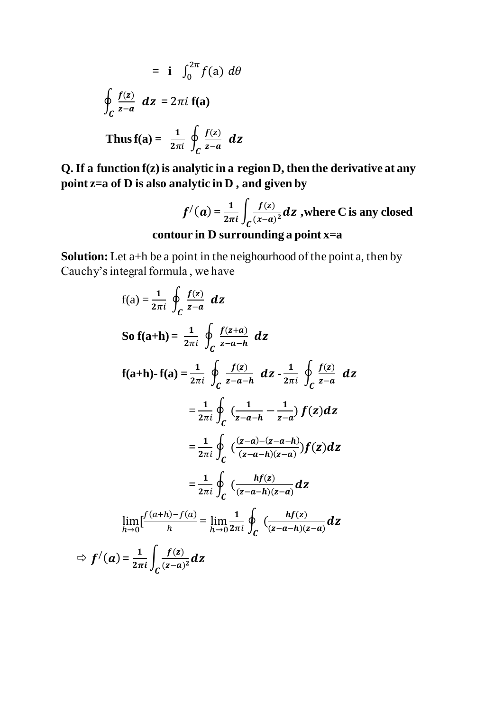$$
= \mathbf{i} \int_0^{2\pi} f(a) \, d\theta
$$
\n
$$
\oint_C \frac{f(z)}{z-a} \, dz = 2\pi i \mathbf{f}(a)
$$
\nThus  $f(a) = \frac{1}{2\pi i} \oint_C \frac{f(z)}{z-a} \, dz$ 

**Q. If a function f(z) is analytic in a region D, then the derivative at any point z=a of D is also analytic in D , and given by**

$$
f'(a) = \frac{1}{2\pi i} \int_C \frac{f(z)}{(x-a)^2} dz
$$
, where C is any closed  
contour in D surrounding a point x=a

**Solution:** Let a<sup>+h</sup> be a point in the neighourhood of the point a, then by Cauchy's integral formula , we have

$$
f(a) = \frac{1}{2\pi i} \oint_C \frac{f(z)}{z-a} dz
$$
  
\nSo  $f(a+h) = \frac{1}{2\pi i} \oint_C \frac{f(z+a)}{z-a-h} dz$   
\n $f(a+h) \cdot f(a) = \frac{1}{2\pi i} \oint_C \frac{f(z)}{z-a-h} dz - \frac{1}{2\pi i} \oint_C \frac{f(z)}{z-a} dz$   
\n $= \frac{1}{2\pi i} \oint_C (\frac{1}{z-a-h} - \frac{1}{z-a}) f(z) dz$   
\n $= \frac{1}{2\pi i} \oint_C (\frac{(z-a)-(z-a-h)}{(z-a-h)(z-a)}) f(z) dz$   
\n $= \frac{1}{2\pi i} \oint_C (\frac{hf(z)}{(z-a-h)(z-a)} dz$   
\n $\lim_{h \to 0} \left[ \frac{f(a+h)-f(a)}{h} \right] = \lim_{h \to 0} \frac{1}{2\pi i} \oint_C (\frac{hf(z)}{(z-a-h)(z-a)} dz$   
\n $f'(a) = \frac{1}{2\pi i} \oint_C \frac{f(z)}{(z-a)^2} dz$ 

 $\Rightarrow$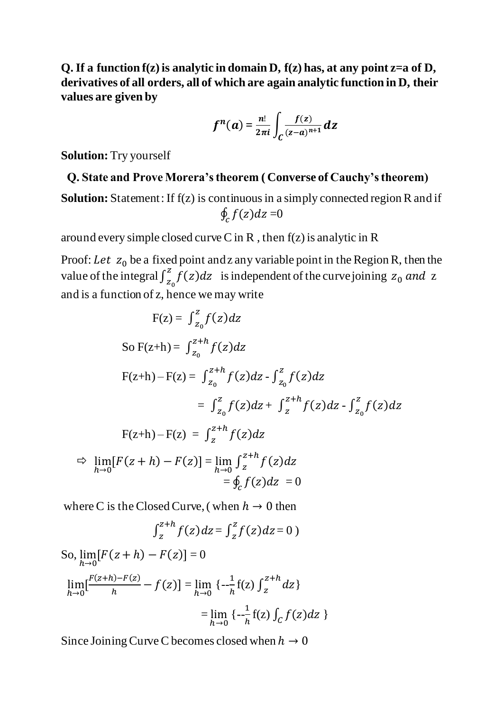**Q. If a function f(z) is analytic in domain D, f(z) has, at any point z=a of D, derivatives of all orders, all of which are again analytic function in D, their values are given by** 

$$
f^{n}(a) = \frac{n!}{2\pi i} \int_C \frac{f(z)}{(z-a)^{n+1}} dz
$$

**Solution:** Try yourself

# **Q. State and Prove Morera's theorem ( Converse of Cauchy's theorem)**

**Solution:** Statement: If  $f(z)$  is continuous in a simply connected region R and if  $\oint_{\mathcal{C}} f(z) dz = 0$ 

around every simple closed curve C in R, then  $f(z)$  is analytic in R

Proof: Let  $z_0$  be a fixed point and z any variable point in the Region R, then the value of the integral  $\int_{z_0}^{z} f(z) dz$  is independent of the curve joining  $z_0$  and z and is a function of z, hence we may write

$$
F(z) = \int_{z_0}^{z} f(z) dz
$$
  
\nSo  $F(z+h) = \int_{z_0}^{z+h} f(z) dz$   
\n
$$
F(z+h) - F(z) = \int_{z_0}^{z+h} f(z) dz - \int_{z_0}^{z} f(z) dz
$$
\n
$$
= \int_{z_0}^{z} f(z) dz + \int_{z}^{z+h} f(z) dz - \int_{z_0}^{z} f(z) dz
$$
\n
$$
F(z+h) - F(z) = \int_{z}^{z+h} f(z) dz
$$
\n
$$
\Rightarrow \lim_{h \to 0} [F(z+h) - F(z)] = \lim_{h \to 0} \int_{z}^{z+h} f(z) dz
$$
\n
$$
= \oint_{c} f(z) dz = 0
$$

where C is the Closed Curve, (when  $h \to 0$  then

$$
\int_{z}^{z+h} f(z) dz = \int_{z}^{z} f(z) dz = 0
$$

So, 
$$
\lim_{h\to 0} [F(z+h) - F(z)] = 0
$$
  
\n
$$
\lim_{h\to 0} \left[ \frac{F(z+h) - F(z)}{h} - f(z) \right] = \lim_{h\to 0} \left\{ -\frac{1}{h} f(z) \int_{z}^{z+h} dz \right\}
$$
\n
$$
= \lim_{h\to 0} \left\{ -\frac{1}{h} f(z) \int_{C} f(z) dz \right\}
$$

Since Joining Curve C becomes closed when  $h \to 0$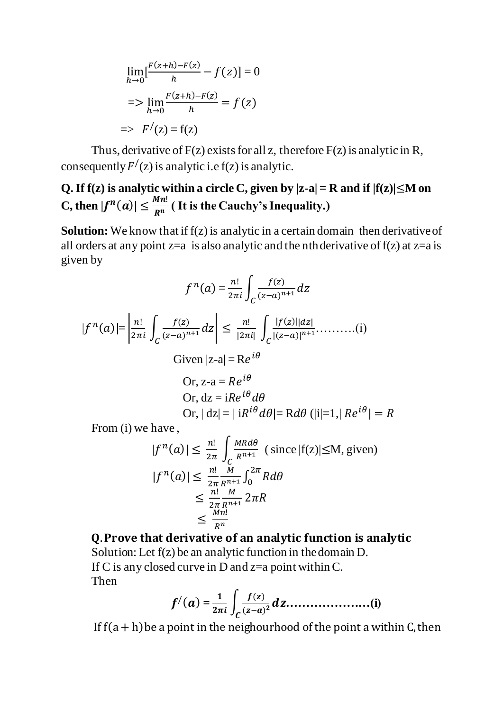$$
\lim_{h \to 0} \left[ \frac{F(z+h) - F(z)}{h} - f(z) \right] = 0
$$
  
=> 
$$
\lim_{h \to 0} \frac{F(z+h) - F(z)}{h} = f(z)
$$
  
=> 
$$
F'(z) = f(z)
$$

Thus, derivative of  $F(z)$  exists for all z, therefore  $F(z)$  is analytic in R, consequently  $F'(z)$  is analytic i.e f(z) is analytic.

#### **Q.** If f(z) is analytic within a circle C, given by  $|z-a| = R$  and if  $|f(z)| \leq M$  on C, then  $|f^n(a)| \leq \frac{Mn!}{n^n}$  $\frac{d^{n}}{R^{n}}$  (It is the Cauchy's Inequality.)

**Solution:** We know that if  $f(z)$  is analytic in a certain domain then derivative of all orders at any point  $z=a$  is also analytic and the nth derivative of  $f(z)$  at  $z=a$  is given by

$$
f^{n}(a) = \frac{n!}{2\pi i} \int_{C} \frac{f(z)}{(z-a)^{n+1}} dz
$$
  
\n
$$
|f^{n}(a)| = \left| \frac{n!}{2\pi i} \int_{C} \frac{f(z)}{(z-a)^{n+1}} dz \right| \le \frac{n!}{|2\pi i|} \int_{C} \frac{|f(z)||dz|}{|(z-a)|^{n+1}} \dots \dots \dots (i)
$$
  
\nGiven  $|z-a| = Re^{i\theta}$   
\nOr,  $z-a = Re^{i\theta}$   
\nOr,  $dz = iRe^{i\theta} d\theta$   
\nOr,  $|dz| = |iR^{i\theta} d\theta| = Rd\theta$   $(|i|=1, |Re^{i\theta}| = R)$   
\nFrom (i) we have

From (i) we have ,

$$
|f^{n}(a)| \leq \frac{n!}{2\pi} \int_{C} \frac{MR d\theta}{R^{n+1}} \text{ (since } |f(z)| \leq M, \text{ given)}
$$
  

$$
|f^{n}(a)| \leq \frac{n!}{2\pi} \frac{M}{R^{n+1}} \int_{0}^{2\pi} R d\theta
$$
  

$$
\leq \frac{n!}{2\pi} \frac{M}{R^{n+1}} 2\pi R
$$
  

$$
\leq \frac{Mn!}{R^{n}}
$$

Q. Prove that derivative of an analytic function is analytic Solution: Let f(z) be an analytic function in the domain D. If C is any closed curve in D and  $z=a$  point within C. Then

$$
f'(a) = \frac{1}{2\pi i} \int_C \frac{f(z)}{(z-a)^2} dz \dots \dots \dots \dots \dots \dots \dots \dots (i)
$$

If  $f(a + h)$  be a point in the neighourhood of the point a within C, then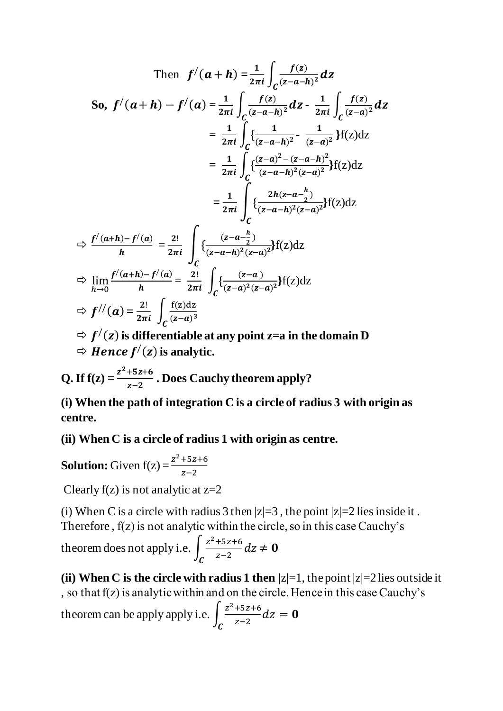$$
\text{Then } f'(a+h) = \frac{1}{2\pi i} \int_C \frac{f(z)}{(z-a-h)^2} dz
$$
\n
$$
\text{So, } f'(a+h) - f'(a) = \frac{1}{2\pi i} \int_C \frac{f(z)}{(z-a-h)^2} dz - \frac{1}{2\pi i} \int_C \frac{f(z)}{(z-a)^2} dz
$$
\n
$$
= \frac{1}{2\pi i} \int_C \left\{ \frac{1}{(z-a-h)^2} - \frac{1}{(z-a)^2} \right\} f(z) dz
$$
\n
$$
= \frac{1}{2\pi i} \int_C \left\{ \frac{(z-a)^2 - (z-a-h)^2}{(z-a-h)^2 (z-a)^2} \right\} f(z) dz
$$
\n
$$
= \frac{1}{2\pi i} \int_C \left\{ \frac{2h(z-a-\frac{h}{2})}{(z-a-h)^2 (z-a)^2} \right\} f(z) dz
$$
\n
$$
\Rightarrow \frac{f'(a+h) - f'(a)}{h} = \frac{2!}{2\pi i} \int_C \left\{ \frac{(z-a-\frac{h}{2})}{(z-a-h)^2 (z-a)^2} \right\} f(z) dz
$$
\n
$$
\Rightarrow \lim_{h \to 0} \frac{f'(a+h) - f'(a)}{h} = \frac{2!}{2\pi i} \int_C \left\{ \frac{(z-a)}{(z-a)^2 (z-a)^2} \right\} f(z) dz
$$
\n
$$
\Rightarrow f''(a) = \frac{2!}{2\pi i} \int_C \frac{f(z) dz}{(z-a)^3}
$$

- $\Rightarrow$   $f'(z)$  is differentiable at any point z=a in the domain **D**
- $\Rightarrow$  *Hence f* $'(z)$  is analytic.

**Q.** If  $f(z) = \frac{z^2 + 5z + 6}{z-2}$  $\frac{+32+8}{z-2}$ . Does Cauchy theorem apply?

**(i) When the path of integration C is a circle of radius 3 with origin as centre.**

**(ii) When C is a circle of radius 1 with origin as centre.**

**Solution:** Given  $f(z) = \frac{z^2 + 5z + 6}{z-2}$  $z-2$ 

Clearly  $f(z)$  is not analytic at  $z=2$ 

(i) When C is a circle with radius 3 then  $|z|=3$ , the point  $|z|=2$  lies inside it. Therefore , f(z) is not analytic within the circle, so in this case Cauchy's

theorem does not apply i.e.  $\int \frac{z^2+5z+6}{z-2}$  $\frac{132+6}{z-2}$  dz  $\boldsymbol{c}$  $\neq 0$ 

**(ii) When C is the circle with radius 1 then**  $|z|=1$ **, the point**  $|z|=2$  **lies outside it** , so that f(z) is analytic within and on the circle. Hence in this case Cauchy's theorem can be apply apply i.e.  $\int \frac{z^2+5z+6}{z^2-z}$  $\frac{132+6}{z-2}$ dz  $\mathcal C$  $= 0$